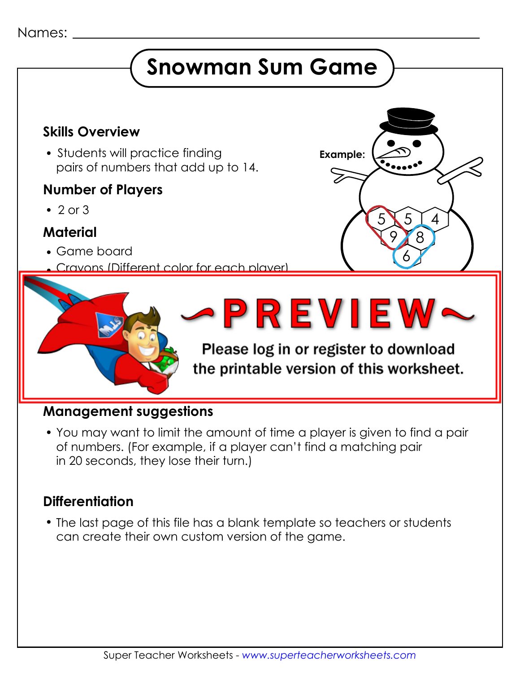#### Names:

# **Snowman Sum Game**

### **Skills Overview**

• Students will practice finding pairs of numbers that add up to 14.

#### **Number of Players**

 $\cdot$  2 or 3

#### **Material**

- Game board
	- Crayons (Different color for each player)



5

8

4

5

**Example:**

6

9

#### **Management suggestions**

 You may want to limit the amount of time a player is given to find a pair of numbers. (For example, if a player can't find a matching pair in 20 seconds, they lose their turn.)

### **Differentiation**

 The last page of this file has a blank template so teachers or students can create their own custom version of the game.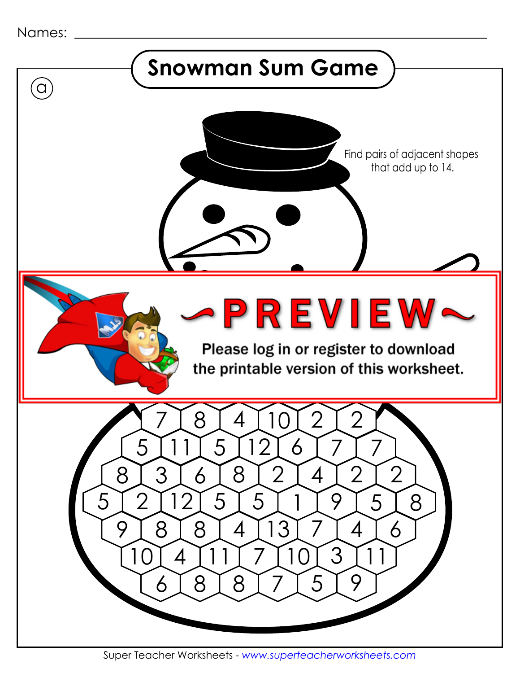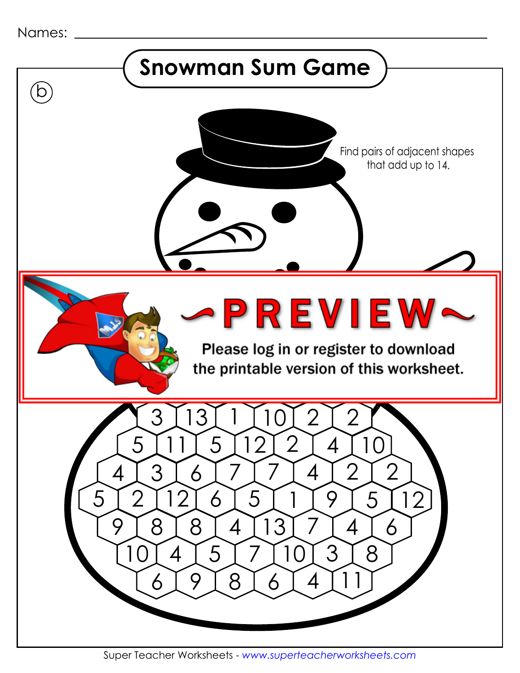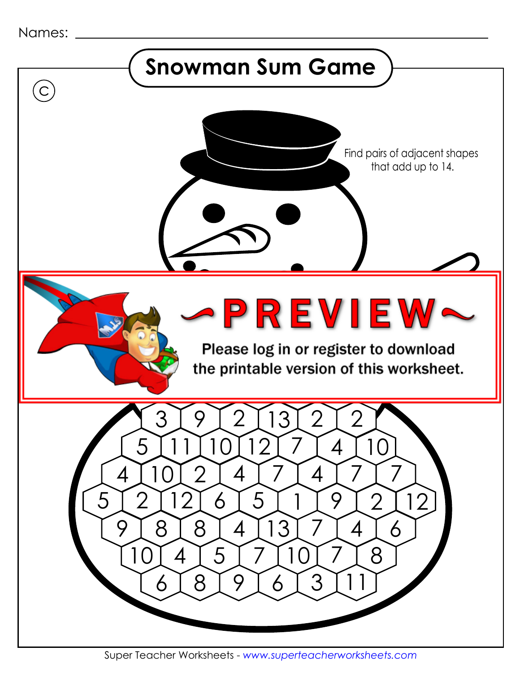| Names: |  |
|--------|--|
|--------|--|



Super Teacher Worksheets - *www.superteacherworksheets.com*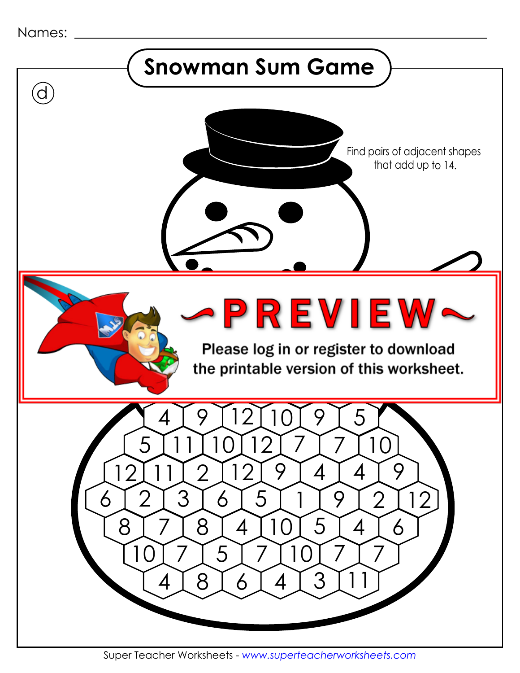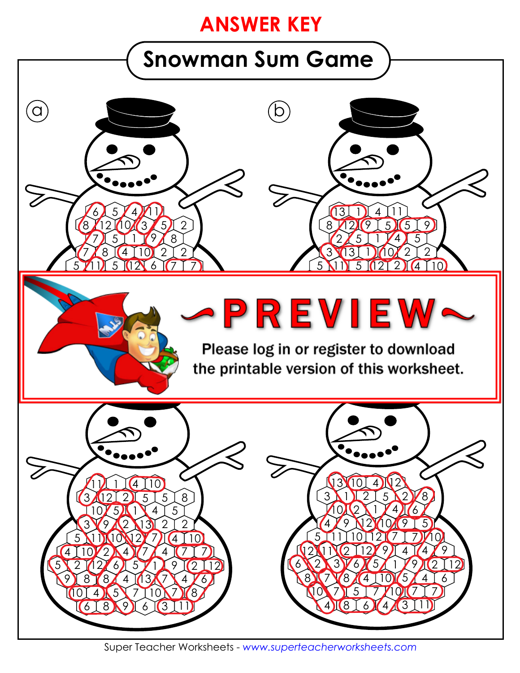### **ANSWER KEY**

# **Snowman Sum Game**



Super Teacher Worksheets - *www.superteacherworksheets.com*